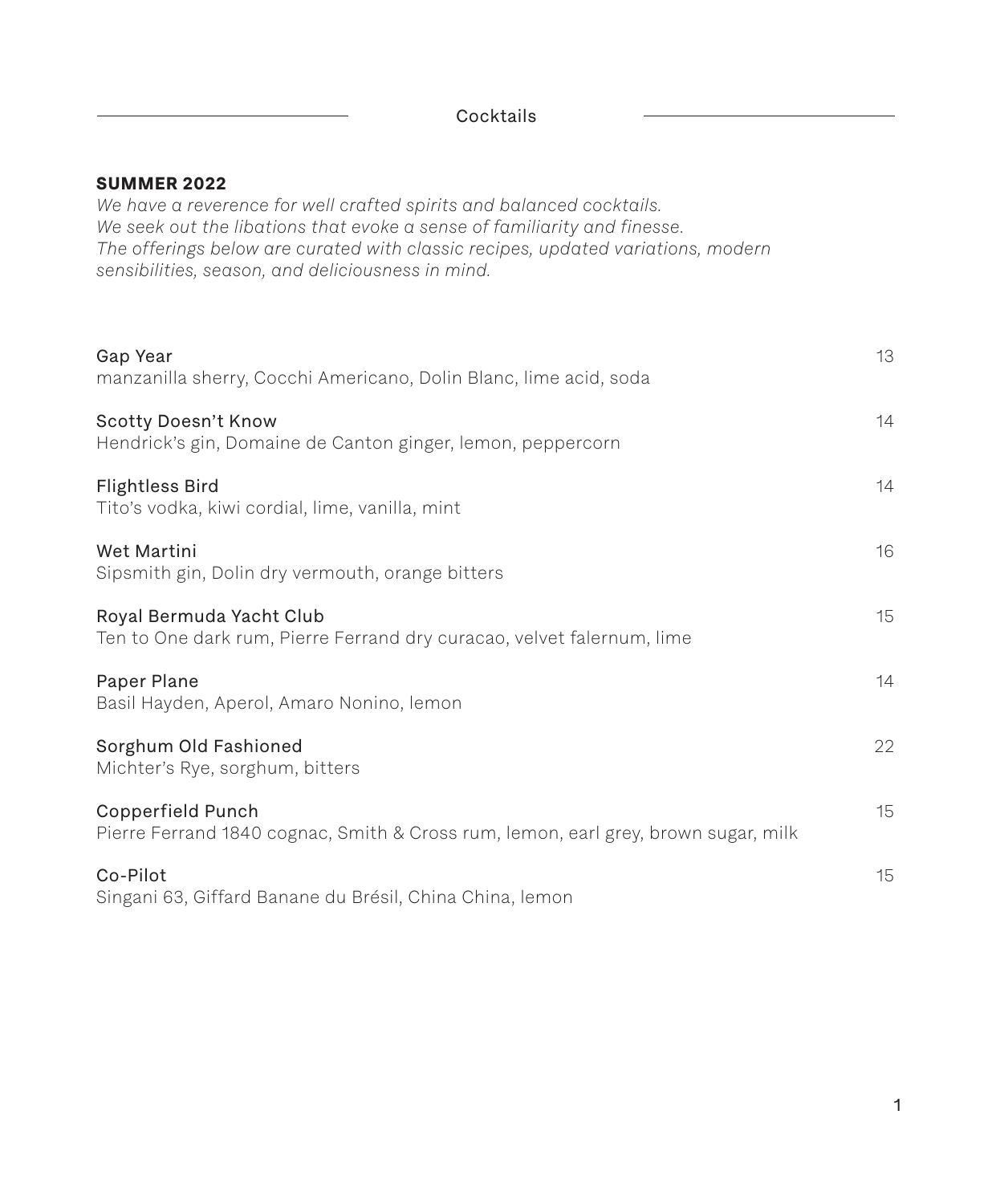Cocktails

L.

| <b>SUMMER 2022</b><br>We have a reverence for well crafted spirits and balanced cocktails.<br>We seek out the libations that evoke a sense of familiarity and finesse.<br>The offerings below are curated with classic recipes, updated variations, modern<br>sensibilities, season, and deliciousness in mind. |    |
|-----------------------------------------------------------------------------------------------------------------------------------------------------------------------------------------------------------------------------------------------------------------------------------------------------------------|----|
| Gap Year<br>manzanilla sherry, Cocchi Americano, Dolin Blanc, lime acid, soda                                                                                                                                                                                                                                   | 13 |
| Scotty Doesn't Know<br>Hendrick's gin, Domaine de Canton ginger, lemon, peppercorn                                                                                                                                                                                                                              | 14 |
| <b>Flightless Bird</b><br>Tito's vodka, kiwi cordial, lime, vanilla, mint                                                                                                                                                                                                                                       | 14 |
| Wet Martini<br>Sipsmith gin, Dolin dry vermouth, orange bitters                                                                                                                                                                                                                                                 | 16 |
| Royal Bermuda Yacht Club<br>Ten to One dark rum, Pierre Ferrand dry curacao, velvet falernum, lime                                                                                                                                                                                                              | 15 |
| Paper Plane<br>Basil Hayden, Aperol, Amaro Nonino, lemon                                                                                                                                                                                                                                                        | 14 |
| Sorghum Old Fashioned<br>Michter's Rye, sorghum, bitters                                                                                                                                                                                                                                                        | 22 |
| Copperfield Punch<br>Pierre Ferrand 1840 cognac, Smith & Cross rum, lemon, earl grey, brown sugar, milk                                                                                                                                                                                                         | 15 |
| Co-Pilot<br>Singani 63, Giffard Banane du Brésil, China China, lemon                                                                                                                                                                                                                                            | 15 |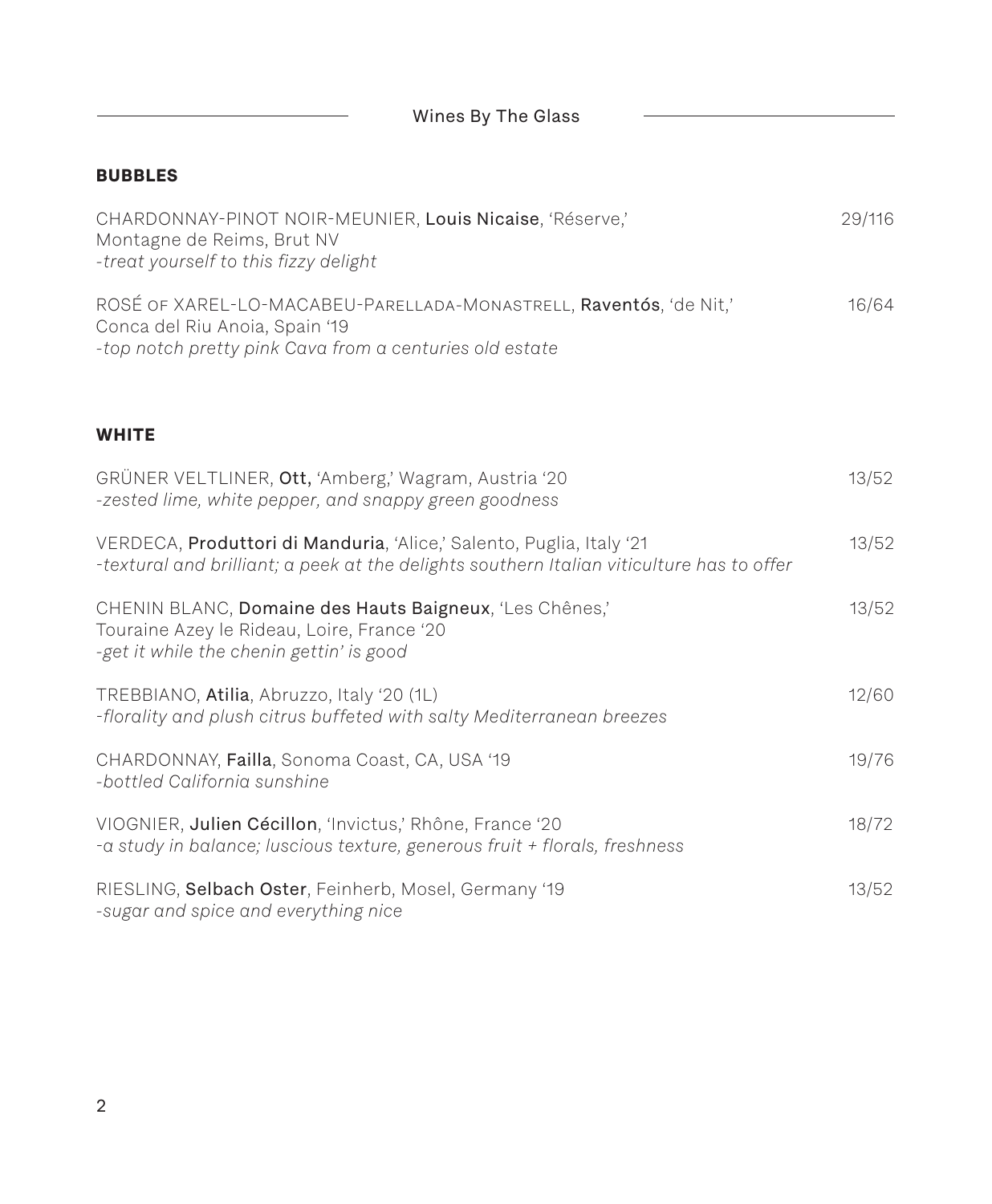| Wines By The Glass                                                                                                                                                |        |
|-------------------------------------------------------------------------------------------------------------------------------------------------------------------|--------|
| <b>BUBBLES</b>                                                                                                                                                    |        |
| CHARDONNAY-PINOT NOIR-MEUNIER, Louis Nicaise, 'Réserve,'<br>Montagne de Reims, Brut NV<br>-treat yourself to this fizzy delight                                   | 29/116 |
| ROSÉ OF XAREL-LO-MACABEU-PARELLADA-MONASTRELL, Raventós, 'de Nit,'<br>Conca del Riu Anoia, Spain '19<br>-top notch pretty pink Cava from a centuries old estate   | 16/64  |
| <b>WHITE</b>                                                                                                                                                      |        |
| GRÜNER VELTLINER, Ott, 'Amberg,' Wagram, Austria '20<br>-zested lime, white pepper, and snappy green goodness                                                     | 13/52  |
| VERDECA, Produttori di Manduria, 'Alice,' Salento, Puglia, Italy '21<br>-textural and brilliant; a peek at the delights southern Italian viticulture has to offer | 13/52  |
| CHENIN BLANC, Domaine des Hauts Baigneux, 'Les Chênes,'<br>Touraine Azey le Rideau, Loire, France '20<br>-get it while the chenin gettin' is good                 | 13/52  |
| TREBBIANO, Atilia, Abruzzo, Italy '20 (1L)<br>-florality and plush citrus buffeted with salty Mediterranean breezes                                               | 12/60  |
| CHARDONNAY, Failla, Sonoma Coast, CA, USA '19<br>-bottled California sunshine                                                                                     | 19/76  |
| VIOGNIER, Julien Cécillon, 'Invictus,' Rhône, France '20<br>-a study in balance; luscious texture, generous fruit + florals, freshness                            | 18/72  |
| RIESLING, Selbach Oster, Feinherb, Mosel, Germany '19<br>-sugar and spice and everything nice                                                                     | 13/52  |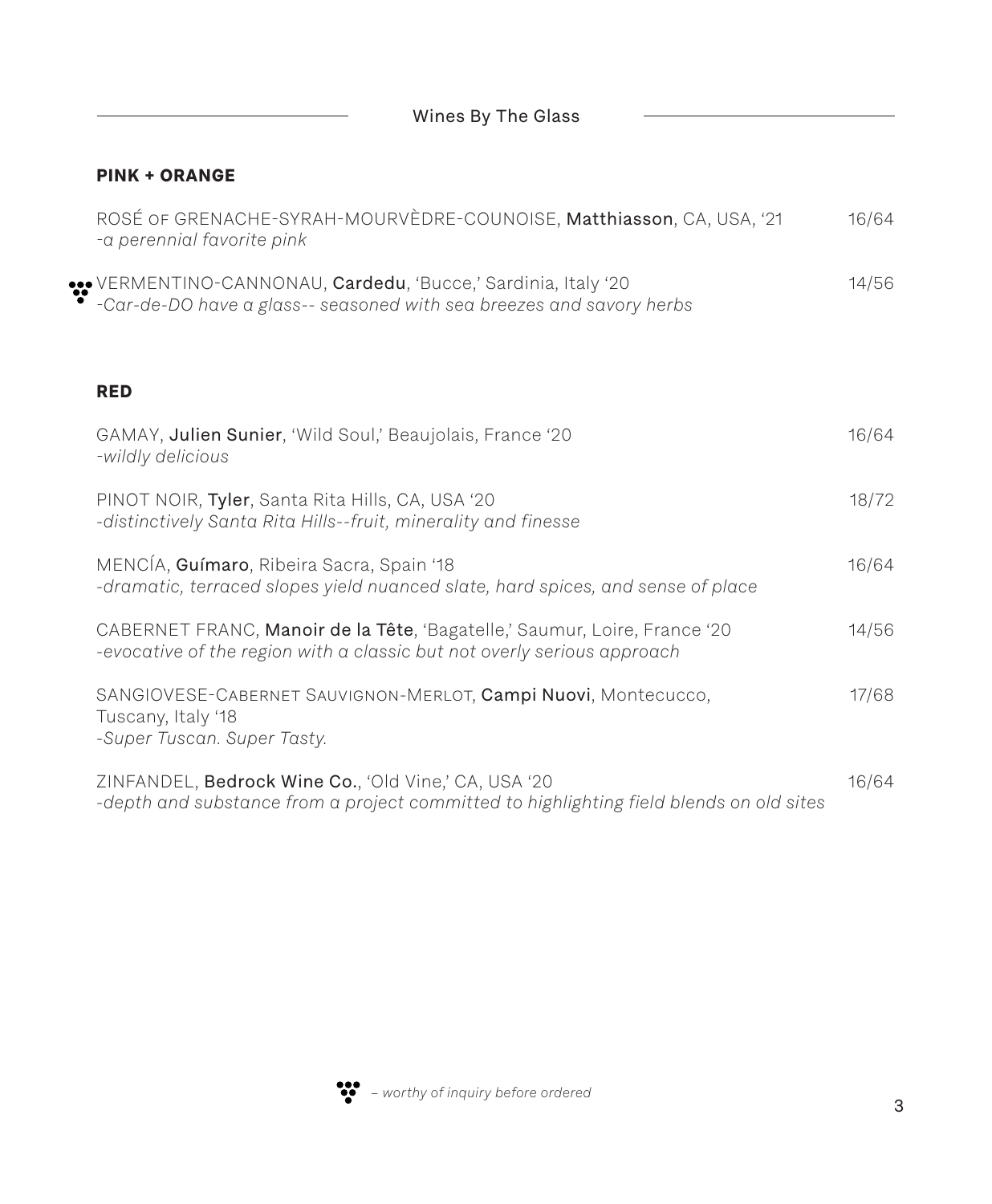Wines By The Glass

 $\overline{\phantom{a}}$ 

### **PINK + ORANGE**

| ROSÉ OF GRENACHE-SYRAH-MOURVÈDRE-COUNOISE, Matthiasson, CA, USA, '21<br>-a perennial favorite pink                                                   | 16/64 |
|------------------------------------------------------------------------------------------------------------------------------------------------------|-------|
| *** VERMENTINO-CANNONAU, Cardedu, 'Bucce,' Sardinia, Italy '20<br>-Car-de-DO have a glass-- seasoned with sea breezes and savory herbs               | 14/56 |
| <b>RED</b>                                                                                                                                           |       |
| GAMAY, Julien Sunier, 'Wild Soul,' Beaujolais, France '20<br>-wildly delicious                                                                       | 16/64 |
| PINOT NOIR, Tyler, Santa Rita Hills, CA, USA '20<br>-distinctively Santa Rita Hills--fruit, minerality and finesse                                   | 18/72 |
| MENCÍA, Guímaro, Ribeira Sacra, Spain '18<br>-dramatic, terraced slopes yield nuanced slate, hard spices, and sense of place                         | 16/64 |
| CABERNET FRANC, Manoir de la Tête, 'Bagatelle,' Saumur, Loire, France '20<br>-evocative of the region with a classic but not overly serious approach | 14/56 |
| SANGIOVESE-CABERNET SAUVIGNON-MERLOT, Campi Nuovi, Montecucco,<br>Tuscany, Italy '18<br>-Super Tuscan. Super Tasty.                                  | 17/68 |
| ZINFANDEL, Bedrock Wine Co., 'Old Vine,' CA, USA '20<br>-depth and substance from a project committed to highlighting field blends on old sites      | 16/64 |

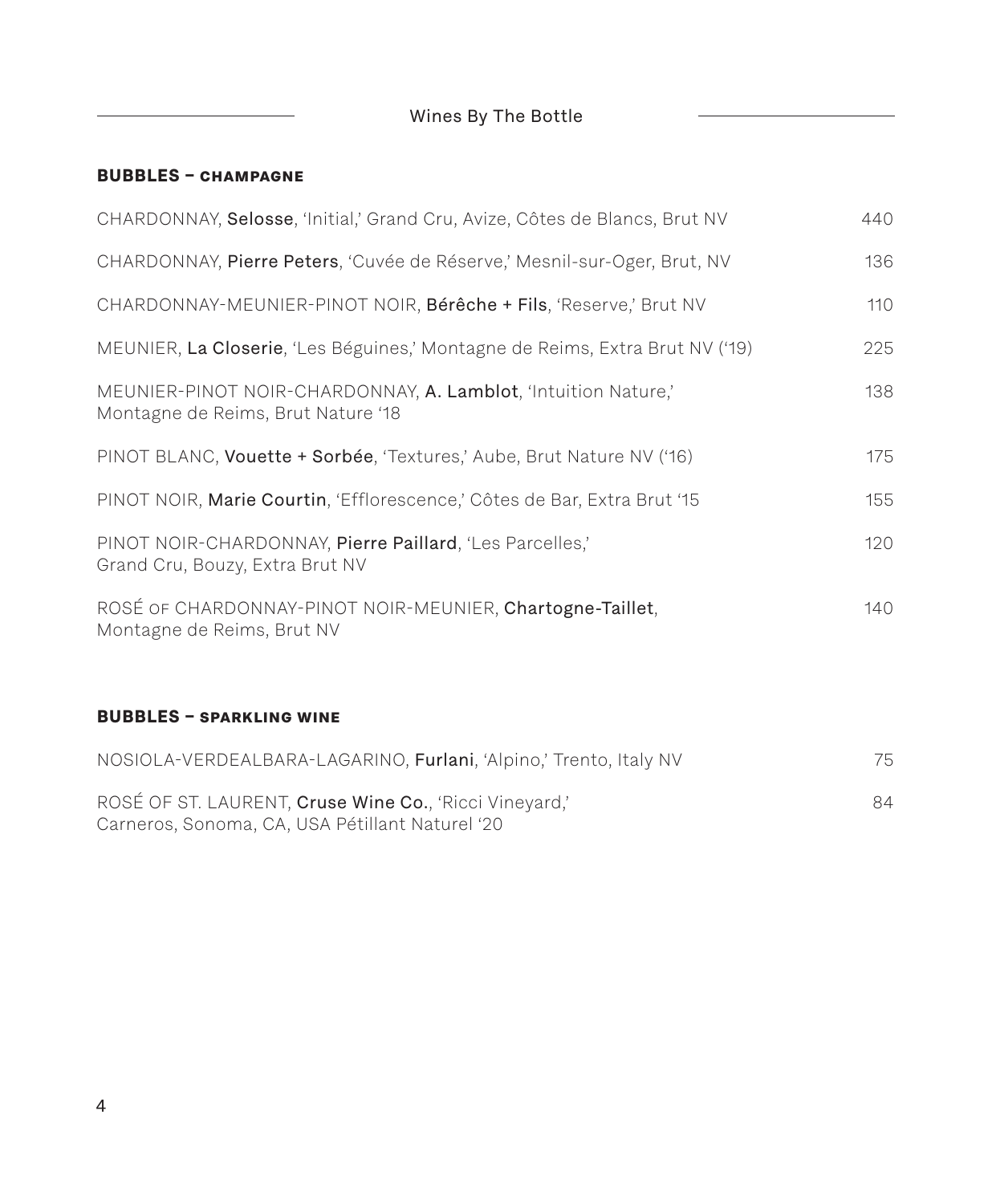$\overline{\phantom{a}}$ 

#### **BUBBLES – champagne**

 $\overline{\phantom{0}}$ 

| CHARDONNAY, Selosse, 'Initial,' Grand Cru, Avize, Côtes de Blancs, Brut NV                           | 440 |
|------------------------------------------------------------------------------------------------------|-----|
| CHARDONNAY, Pierre Peters, 'Cuvée de Réserve,' Mesnil-sur-Oger, Brut, NV                             | 136 |
| CHARDONNAY-MEUNIER-PINOT NOIR, Bérêche + Fils, 'Reserve,' Brut NV                                    | 110 |
| MEUNIER, La Closerie, 'Les Béguines,' Montagne de Reims, Extra Brut NV ('19)                         | 225 |
| MEUNIER-PINOT NOIR-CHARDONNAY, A. Lamblot, 'Intuition Nature,'<br>Montagne de Reims, Brut Nature '18 | 138 |
| PINOT BLANC, Vouette + Sorbée, 'Textures,' Aube, Brut Nature NV ('16)                                | 175 |
| PINOT NOIR, Marie Courtin, 'Efflorescence,' Côtes de Bar, Extra Brut '15                             | 155 |
| PINOT NOIR-CHARDONNAY, Pierre Paillard, 'Les Parcelles,'<br>Grand Cru, Bouzy, Extra Brut NV          | 120 |
| ROSÉ OF CHARDONNAY-PINOT NOIR-MEUNIER, Chartogne-Taillet,<br>Montagne de Reims, Brut NV              | 140 |
| <b>BUBBLES - SPARKLING WINE</b>                                                                      |     |
| NOSIOLA-VERDEALBARA-LAGARINO, Furlani, 'Alpino,' Trento, Italy NV                                    | 75  |

ROSÉ OF ST. LAURENT, Cruse Wine Co., 'Ricci Vineyard,' SA 84 Carneros, Sonoma, CA, USA Pétillant Naturel '20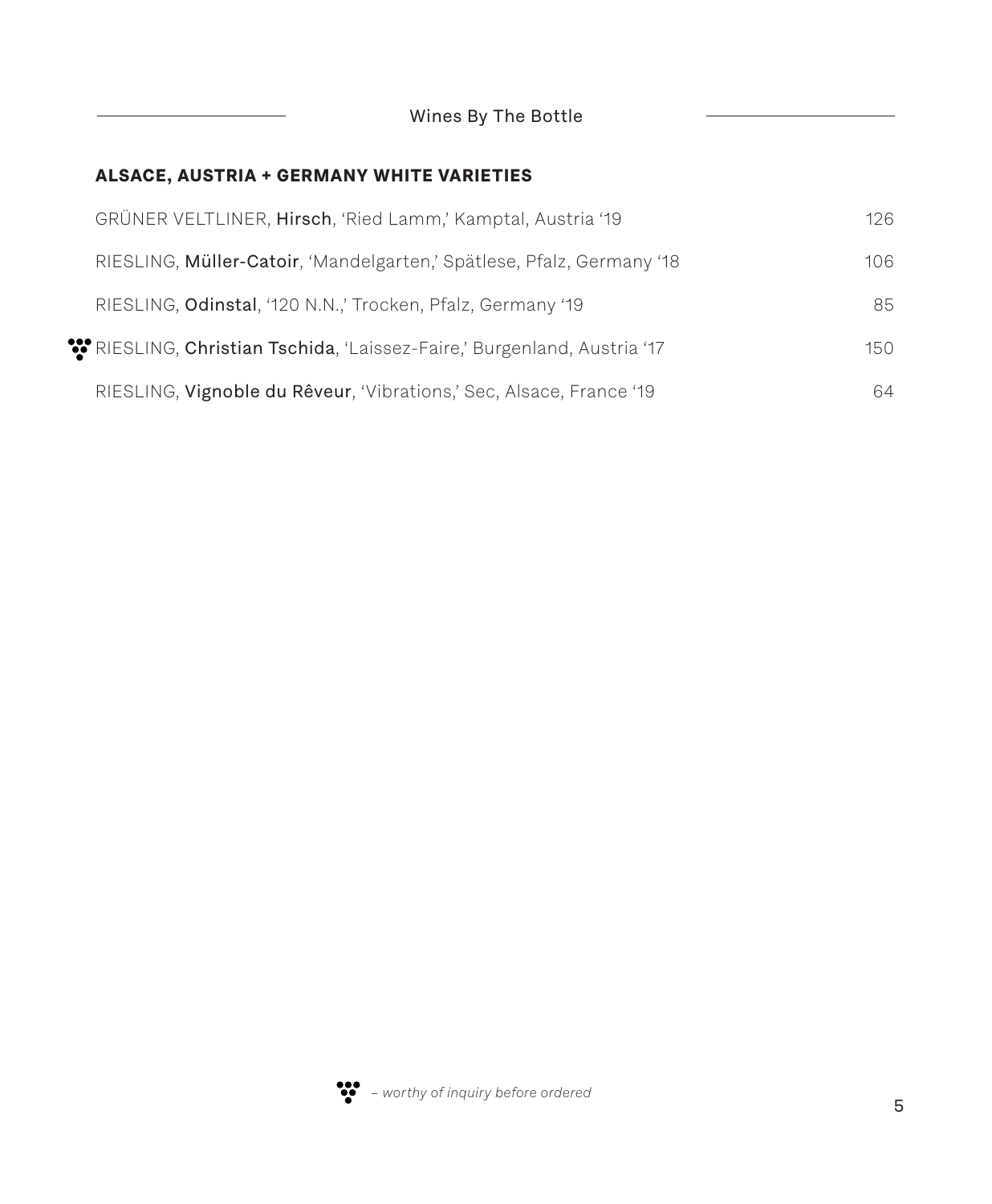# **ALSACE, AUSTRIA + GERMANY WHITE VARIETIES**

| GRÜNER VELTLINER, Hirsch, 'Ried Lamm,' Kamptal, Austria '19           | 126. |
|-----------------------------------------------------------------------|------|
| RIESLING, Müller-Catoir, 'Mandelgarten,' Spätlese, Pfalz, Germany '18 | 106. |
| RIESLING, Odinstal, '120 N.N.,' Trocken, Pfalz, Germany '19           | 85   |
| RIESLING, Christian Tschida, 'Laissez-Faire,' Burgenland, Austria '17 | 150  |
| RIESLING, Vignoble du Rêveur, 'Vibrations,' Sec. Alsace, France '19   | 64   |

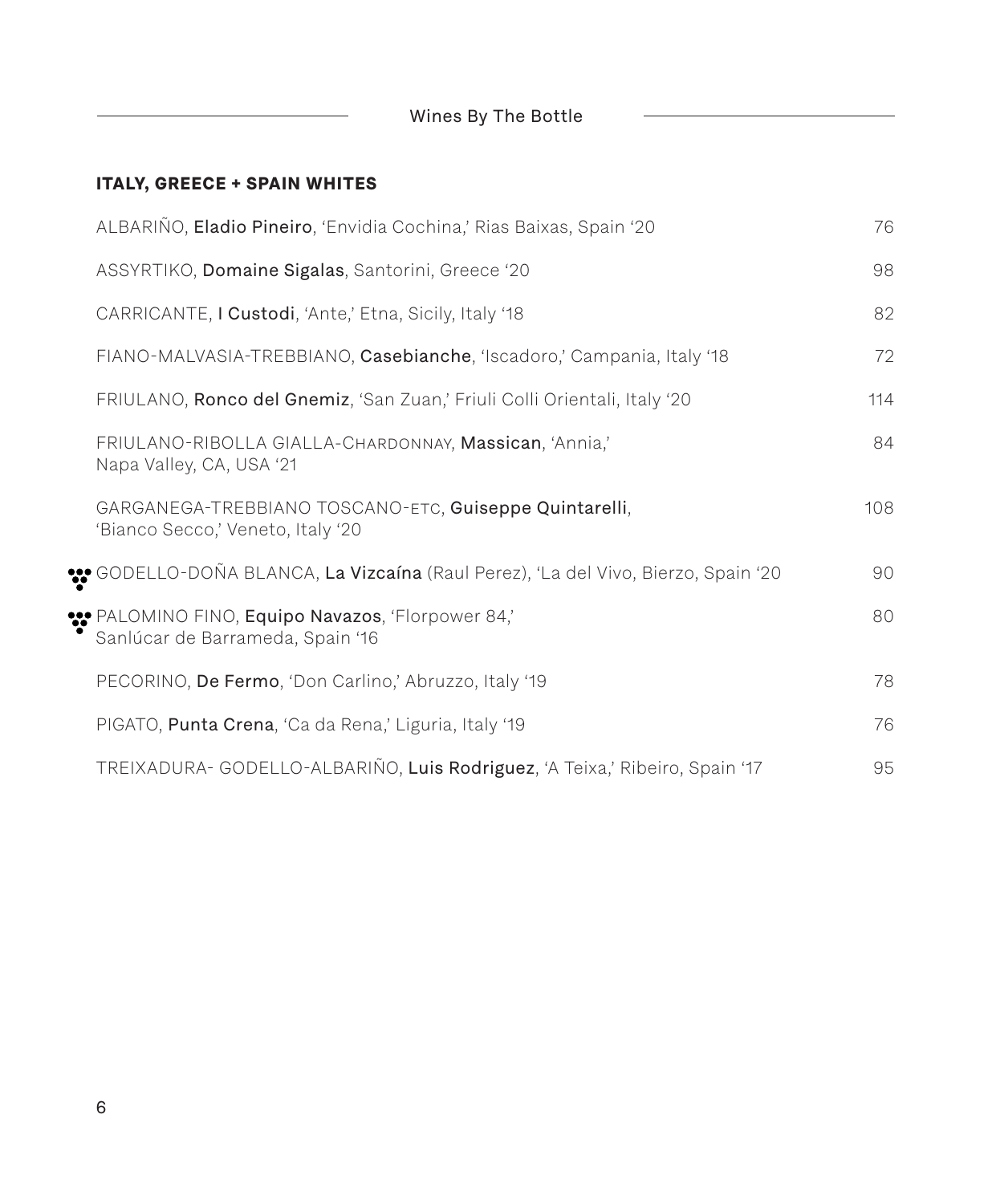# **ITALY, GREECE + SPAIN WHITES**

<u> 1980 - Johann Barnett, fransk politik (</u>

| ALBARINO, Eladio Pineiro, 'Envidia Cochina,' Rias Baixas, Spain '20                         | 76  |
|---------------------------------------------------------------------------------------------|-----|
| ASSYRTIKO, Domaine Sigalas, Santorini, Greece '20                                           | 98  |
| CARRICANTE, I Custodi, 'Ante,' Etna, Sicily, Italy '18                                      | 82  |
| FIANO-MALVASIA-TREBBIANO, Casebianche, 'Iscadoro,' Campania, Italy '18                      | 72  |
| FRIULANO, Ronco del Gnemiz, 'San Zuan,' Friuli Colli Orientali, Italy '20                   | 114 |
| FRIULANO-RIBOLLA GIALLA-CHARDONNAY, Massican, 'Annia,'<br>Napa Valley, CA, USA '21          | 84  |
| GARGANEGA-TREBBIANO TOSCANO-ETC, Guiseppe Quintarelli,<br>'Bianco Secco,' Veneto, Italy '20 | 108 |
| ** GODELLO-DOÑA BLANCA, La Vizcaína (Raul Perez), 'La del Vivo, Bierzo, Spain '20           | 90  |
| ** PALOMINO FINO, Equipo Navazos, 'Florpower 84,'<br>Sanlúcar de Barrameda, Spain '16       | 80  |
| PECORINO, De Fermo, 'Don Carlino,' Abruzzo, Italy '19                                       | 78  |
| PIGATO, Punta Crena, 'Ca da Rena,' Liguria, Italy '19                                       | 76  |
| TREIXADURA- GODELLO-ALBARIÑO, Luis Rodriguez, 'A Teixa,' Ribeiro, Spain '17                 | 95  |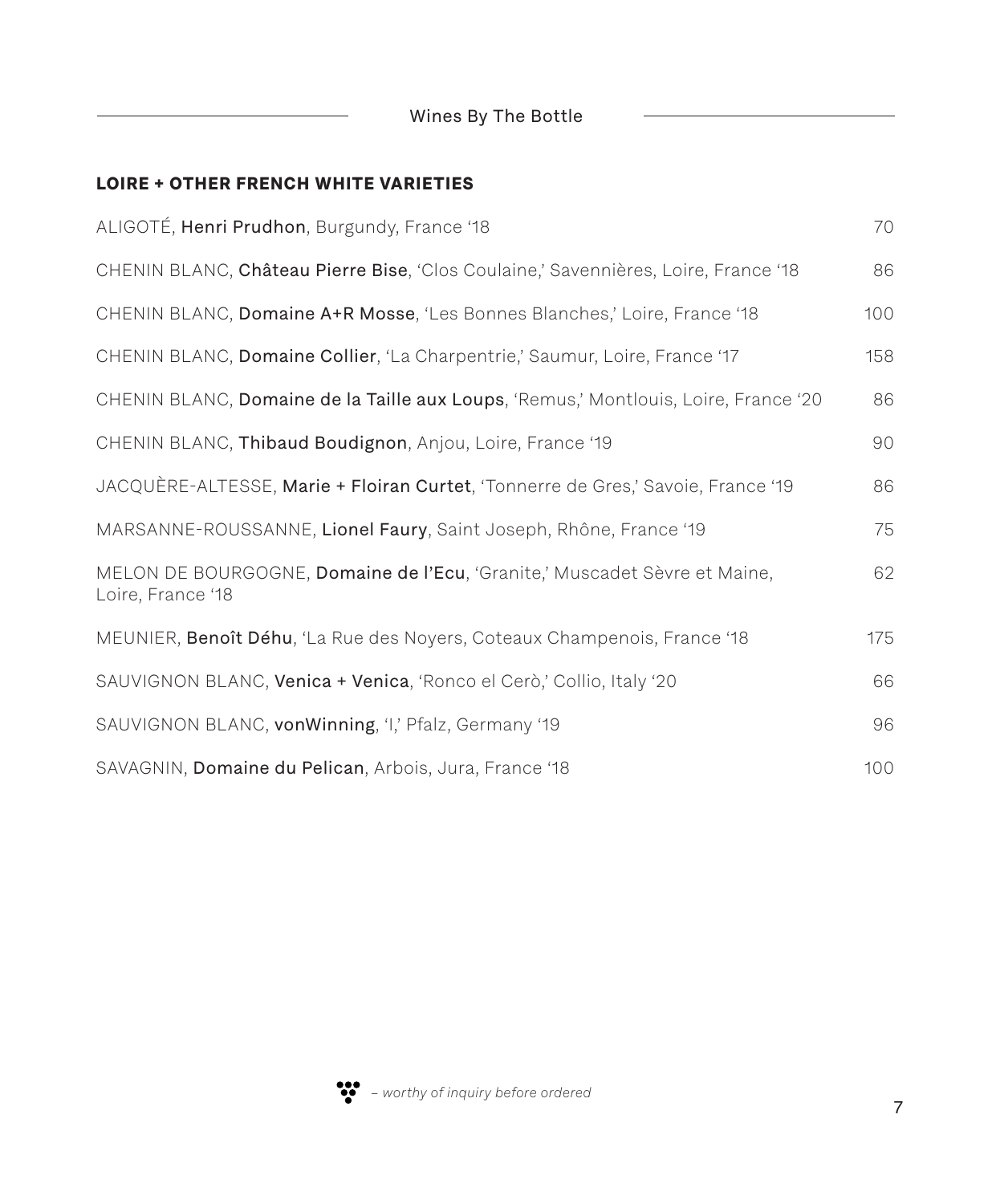Wines By The Bottle **Constant Contract Constant** 

# **LOIRE + OTHER FRENCH WHITE VARIETIES**

| ALIGOTÉ, Henri Prudhon, Burgundy, France '18                                                   | 70  |
|------------------------------------------------------------------------------------------------|-----|
| CHENIN BLANC, Château Pierre Bise, 'Clos Coulaine,' Savennières, Loire, France '18             | 86  |
| CHENIN BLANC, Domaine A+R Mosse, 'Les Bonnes Blanches,' Loire, France '18                      | 100 |
| CHENIN BLANC, Domaine Collier, 'La Charpentrie,' Saumur, Loire, France '17                     | 158 |
| CHENIN BLANC, Domaine de la Taille aux Loups, 'Remus,' Montlouis, Loire, France '20            | 86  |
| CHENIN BLANC, Thibaud Boudignon, Anjou, Loire, France '19                                      | 90  |
| JACQUÈRE-ALTESSE, Marie + Floiran Curtet, 'Tonnerre de Gres,' Savoie, France '19               | 86  |
| MARSANNE-ROUSSANNE, Lionel Faury, Saint Joseph, Rhône, France '19                              | 75  |
| MELON DE BOURGOGNE, Domaine de l'Ecu, 'Granite,' Muscadet Sèvre et Maine,<br>Loire, France '18 | 62  |
| MEUNIER, Benoît Déhu, 'La Rue des Noyers, Coteaux Champenois, France '18                       | 175 |
| SAUVIGNON BLANC, Venica + Venica, 'Ronco el Cerò,' Collio, Italy '20                           | 66  |
| SAUVIGNON BLANC, vonWinning, 'I,' Pfalz, Germany '19                                           | 96  |
| SAVAGNIN, Domaine du Pelican, Arbois, Jura, France '18                                         | 100 |

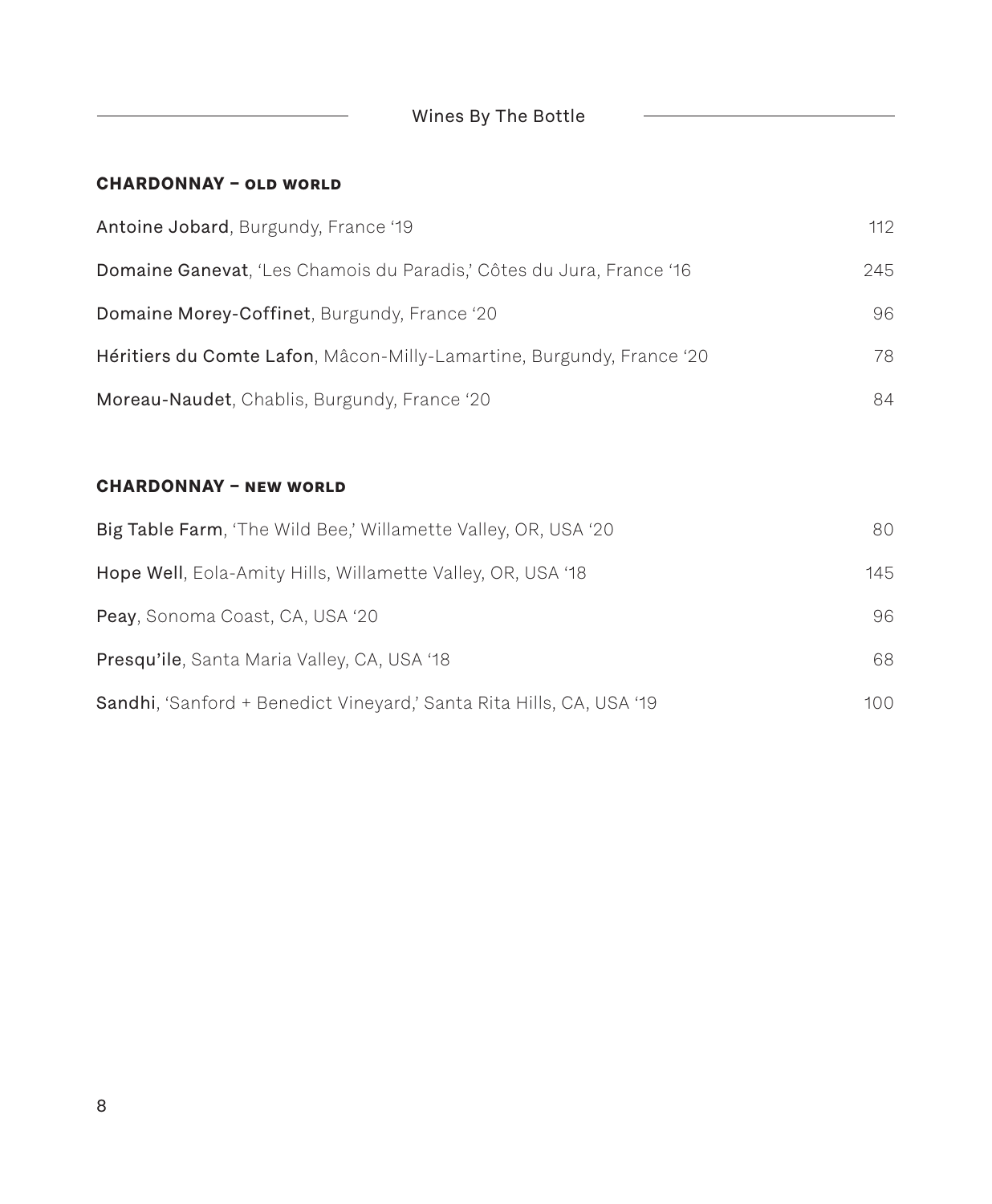# Wines By The Bottle **Constant Constant Constant Constant**

### **CHARDONNAY – old world**

<u> 1980 - Johann Barn, mars an t-Amerikaansk ferskeider (</u>

| Antoine Jobard, Burgundy, France '19                                  | 112 |
|-----------------------------------------------------------------------|-----|
| Domaine Ganevat, 'Les Chamois du Paradis,' Côtes du Jura, France '16  | 245 |
| Domaine Morey-Coffinet, Burgundy, France '20                          | 96  |
| Héritiers du Comte Lafon, Mâcon-Milly-Lamartine, Burgundy, France '20 | 78  |
| Moreau-Naudet, Chablis, Burgundy, France '20                          | 84  |
|                                                                       |     |
| <b>CHARDONNAY - NEW WORLD</b>                                         |     |
| Big Table Farm, 'The Wild Bee,' Willamette Valley, OR, USA '20        | 80  |
| Hope Well, Eola-Amity Hills, Willamette Valley, OR, USA '18           | 145 |
| Peay, Sonoma Coast, CA, USA '20                                       | 96  |
| Presqu'ile, Santa Maria Valley, CA, USA '18                           | 68  |
| Sandhi, 'Sanford + Benedict Vineyard,' Santa Rita Hills, CA, USA '19  | 100 |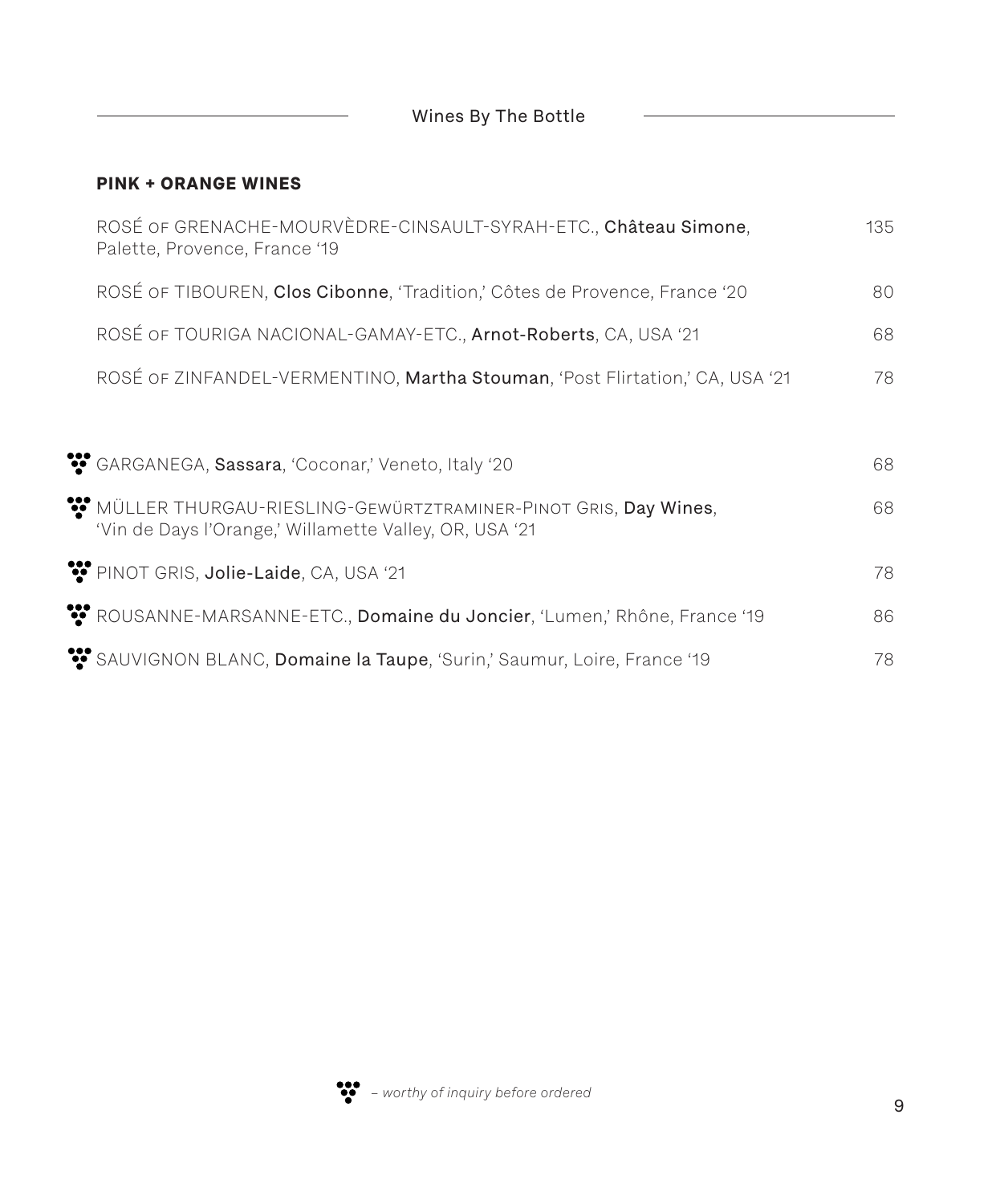$\overline{\phantom{0}}$ 

# **PINK + ORANGE WINES**

| ROSÉ OF GRENACHE-MOURVÈDRE-CINSAULT-SYRAH-ETC., Château Simone,<br>Palette, Provence, France '19                         | 135 |
|--------------------------------------------------------------------------------------------------------------------------|-----|
| ROSÉ OF TIBOUREN, Clos Cibonne, 'Tradition,' Côtes de Provence, France '20                                               | 80  |
| ROSÉ OF TOURIGA NACIONAL-GAMAY-ETC., Arnot-Roberts, CA, USA '21                                                          | 68  |
| ROSÉ OF ZINFANDEL-VERMENTINO, Martha Stouman, 'Post Flirtation,' CA, USA '21                                             | 78  |
|                                                                                                                          |     |
| "GARGANEGA, Sassara, 'Coconar,' Veneto, Italy '20                                                                        | 68  |
| MÜLLER THURGAU-RIESLING-GEWÜRTZTRAMINER-PINOT GRIS, Day Wines,<br>'Vin de Days l'Orange,' Willamette Valley, OR, USA '21 | 68  |
| PINOT GRIS, Jolie-Laide, CA, USA '21                                                                                     | 78  |
| ROUSANNE-MARSANNE-ETC., Domaine du Joncier, 'Lumen,' Rhône, France '19                                                   | 86  |
| SAUVIGNON BLANC, Domaine la Taupe, 'Surin,' Saumur, Loire, France '19                                                    | 78  |

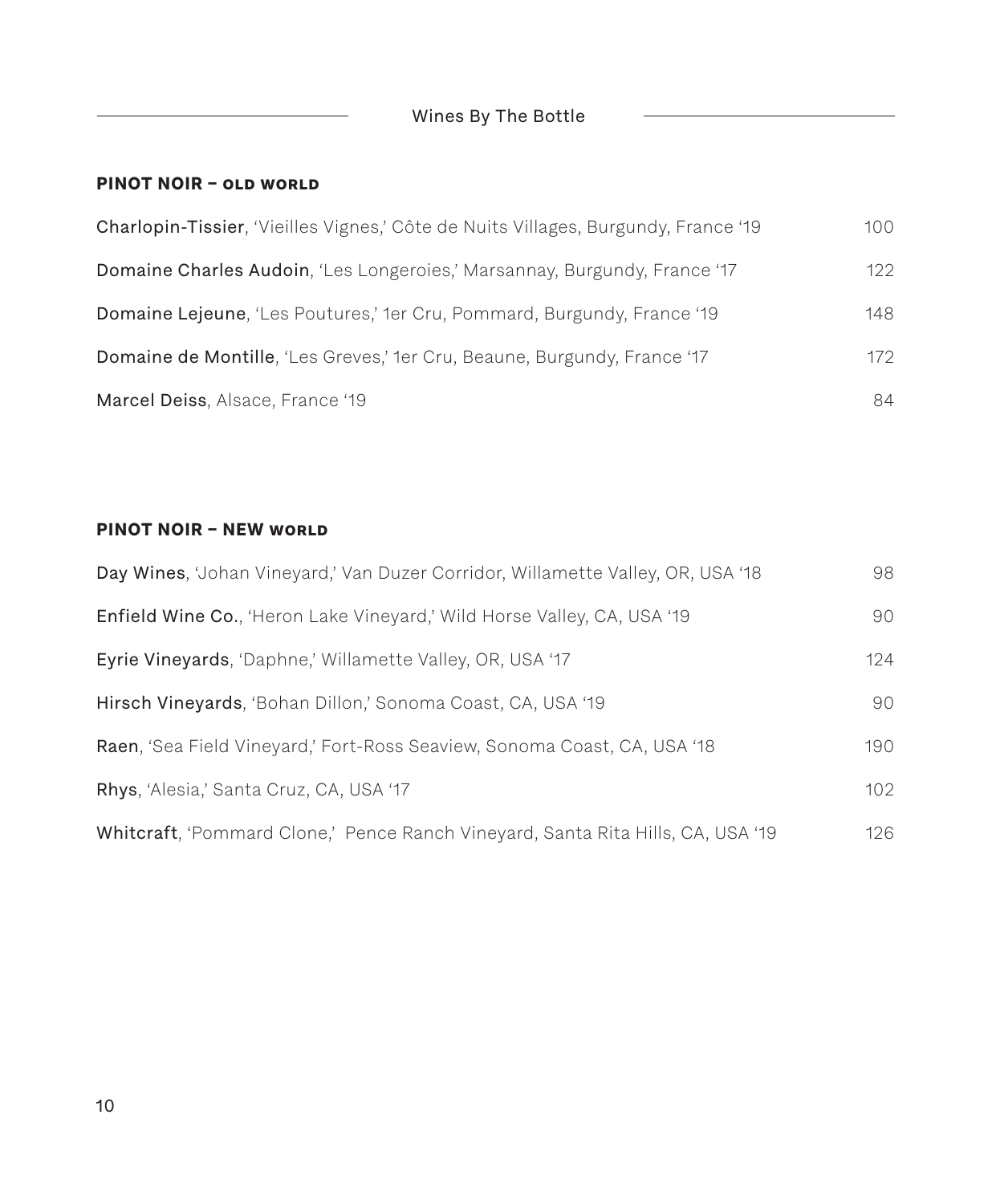# Wines By The Bottle **Constant Constant Constant Constant**

### **PINOT NOIR – old world**

<u> 1989 - Johann Barn, fransk politik (d. 1989)</u>

| <b>Charlopin-Tissier</b> , 'Vieilles Vignes,' Côte de Nuits Villages, Burgundy, France '19 | 100 |
|--------------------------------------------------------------------------------------------|-----|
| Domaine Charles Audoin, 'Les Longeroies,' Marsannay, Burgundy, France '17                  | 122 |
| <b>Domaine Lejeune, 'Les Poutures,' 1er Cru, Pommard, Burgundy, France '19</b>             | 148 |
| Domaine de Montille, 'Les Greves,' 1er Cru, Beaune, Burgundy, France '17                   | 172 |
| Marcel Deiss, Alsace, France '19                                                           | 84  |

# **PINOT NOIR – NEW world**

| Day Wines, 'Johan Vineyard,' Van Duzer Corridor, Willamette Valley, OR, USA '18 | 98   |
|---------------------------------------------------------------------------------|------|
| <b>Enfield Wine Co.</b> , 'Heron Lake Vineyard,' Wild Horse Valley, CA, USA '19 | 90   |
| Eyrie Vineyards, 'Daphne,' Willamette Valley, OR, USA '17                       | 124  |
| Hirsch Vineyards, 'Bohan Dillon,' Sonoma Coast, CA, USA '19                     | 90   |
| Raen, 'Sea Field Vineyard,' Fort-Ross Seaview, Sonoma Coast, CA, USA '18        | 190  |
| Rhys, 'Alesia,' Santa Cruz, CA, USA '17                                         | 102  |
| Whitcraft, 'Pommard Clone,' Pence Ranch Vineyard, Santa Rita Hills, CA, USA '19 | 126. |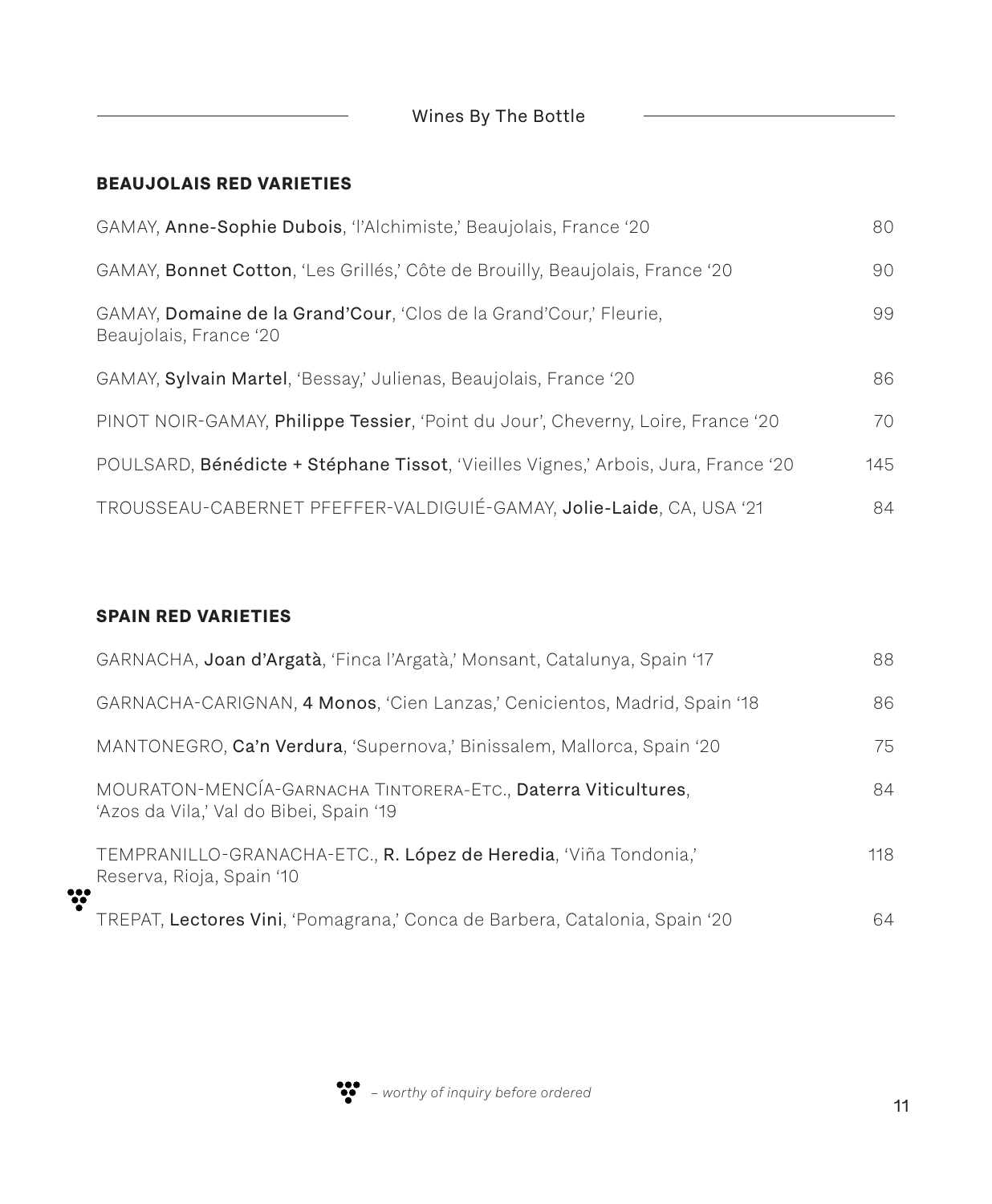# **BEAUJOLAIS RED VARIETIES**

 $\mathbb{R}^2$ 

| GAMAY, Anne-Sophie Dubois, 'l'Alchimiste,' Beaujolais, France '20                            | 80  |
|----------------------------------------------------------------------------------------------|-----|
| GAMAY, Bonnet Cotton, 'Les Grillés,' Côte de Brouilly, Beaujolais, France '20                | 90  |
| GAMAY, Domaine de la Grand'Cour, 'Clos de la Grand'Cour,' Fleurie,<br>Beaujolais, France '20 | 99  |
| GAMAY, Sylvain Martel, 'Bessay,' Julienas, Beaujolais, France '20                            | 86. |
| PINOT NOIR-GAMAY, Philippe Tessier, 'Point du Jour', Cheverny, Loire, France '20             | 70  |
| POULSARD, Bénédicte + Stéphane Tissot, 'Vieilles Vignes,' Arbois, Jura, France '20           | 145 |
| TROUSSEAU-CABERNET PFEFFER-VALDIGUIÉ-GAMAY, Jolie-Laide, CA, USA '21                         | 84  |

#### **SPAIN RED VARIETIES**

|                     | GARNACHA, Joan d'Argatà, 'Finca l'Argatà,' Monsant, Catalunya, Spain '17                                  | 88  |
|---------------------|-----------------------------------------------------------------------------------------------------------|-----|
|                     | GARNACHA-CARIGNAN, 4 Monos, 'Cien Lanzas,' Cenicientos, Madrid, Spain '18                                 | 86  |
|                     | MANTONEGRO, Ca'n Verdura, 'Supernova,' Binissalem, Mallorca, Spain '20                                    | 75  |
|                     | MOURATON-MENCÍA-GARNACHA TINTORERA-ETC., Daterra Viticultures,<br>'Azos da Vila,' Val do Bibei, Spain '19 | 84  |
| $\ddot{\mathbf{v}}$ | TEMPRANILLO-GRANACHA-ETC., R. López de Heredia, 'Viña Tondonia,'<br>Reserva, Rioja, Spain '10             | 118 |
|                     | TREPAT, Lectores Vini, 'Pomagrana,' Conca de Barbera, Catalonia, Spain '20                                | 64. |

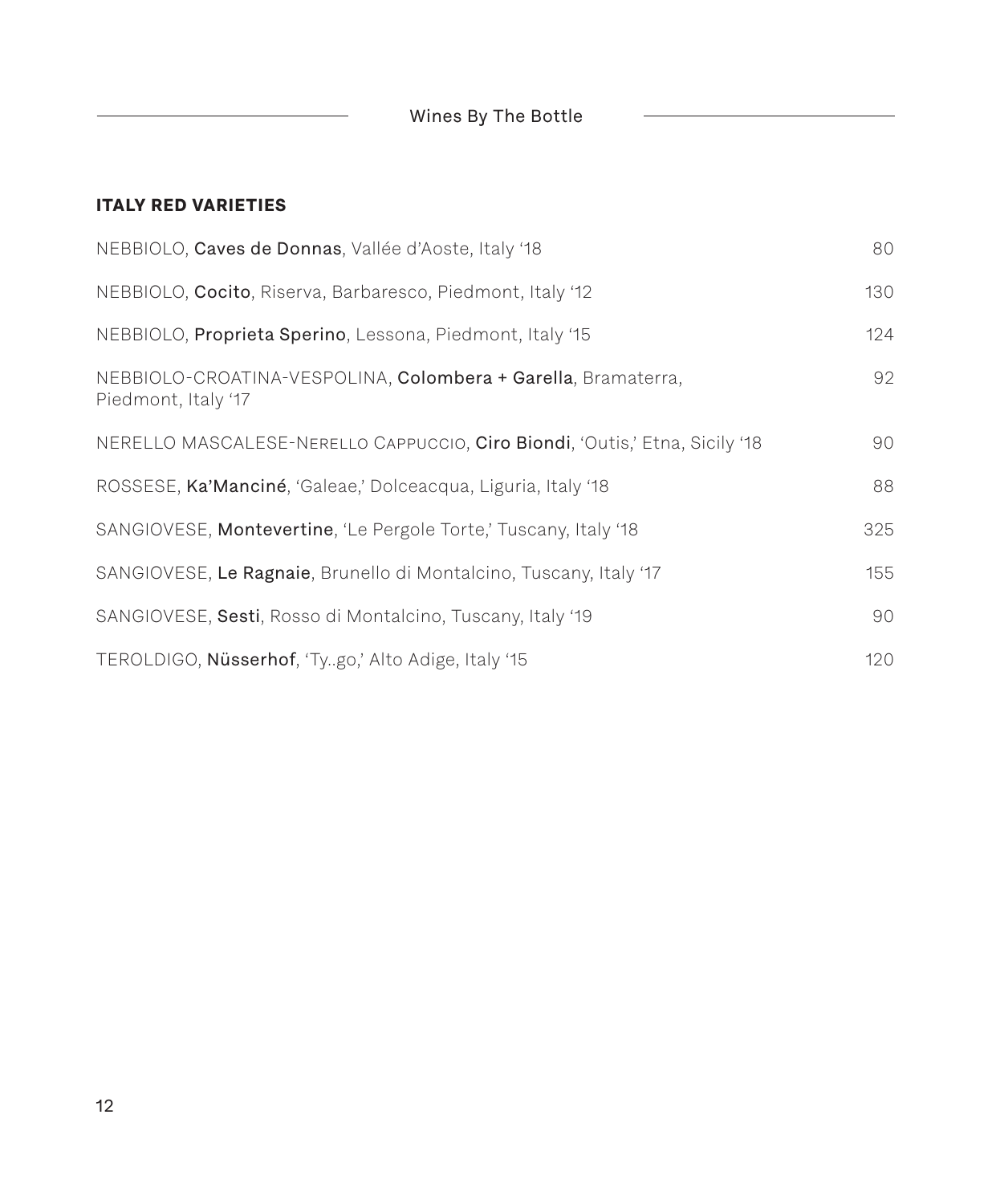$\begin{tabular}{ll} \multicolumn{2}{c} {\textbf{1}} & \multicolumn{2}{c} {\textbf{1}} & \multicolumn{2}{c} {\textbf{1}} \\ \multicolumn{2}{c} {\textbf{1}} & \multicolumn{2}{c} {\textbf{1}} & \multicolumn{2}{c} {\textbf{1}} \\ \multicolumn{2}{c} {\textbf{1}} & \multicolumn{2}{c} {\textbf{1}} & \multicolumn{2}{c} {\textbf{1}} \\ \multicolumn{2}{c} {\textbf{1}} & \multicolumn{2}{c} {\textbf{1}} & \multicolumn{2}{c} {\textbf{1}} \\ \multicolumn{2}{c} {\textbf{1}} & \multicolumn$ 

# **ITALY RED VARIETIES**

 $\overline{\phantom{0}}$ 

| NEBBIOLO, Caves de Donnas, Vallée d'Aoste, Italy '18                                 | 80  |
|--------------------------------------------------------------------------------------|-----|
| NEBBIOLO, Cocito, Riserva, Barbaresco, Piedmont, Italy '12                           | 130 |
| NEBBIOLO, <b>Proprieta Sperino</b> , Lessona, Piedmont, Italy '15                    | 124 |
| NEBBIOLO-CROATINA-VESPOLINA, Colombera + Garella, Bramaterra,<br>Piedmont, Italy '17 | 92  |
| NERELLO MASCALESE-NERELLO CAPPUCCIO, Ciro Biondi, 'Outis,' Etna, Sicily '18          | 90  |
| ROSSESE, Ka'Manciné, 'Galeae,' Dolceacqua, Liguria, Italy '18                        | 88  |
| SANGIOVESE, Montevertine, 'Le Pergole Torte,' Tuscany, Italy '18                     | 325 |
| SANGIOVESE, Le Ragnaie, Brunello di Montalcino, Tuscany, Italy '17                   | 155 |
| SANGIOVESE, Sesti, Rosso di Montalcino, Tuscany, Italy '19                           | 90  |
| TEROLDIGO, Nüsserhof, 'Tygo,' Alto Adige, Italy '15                                  | 120 |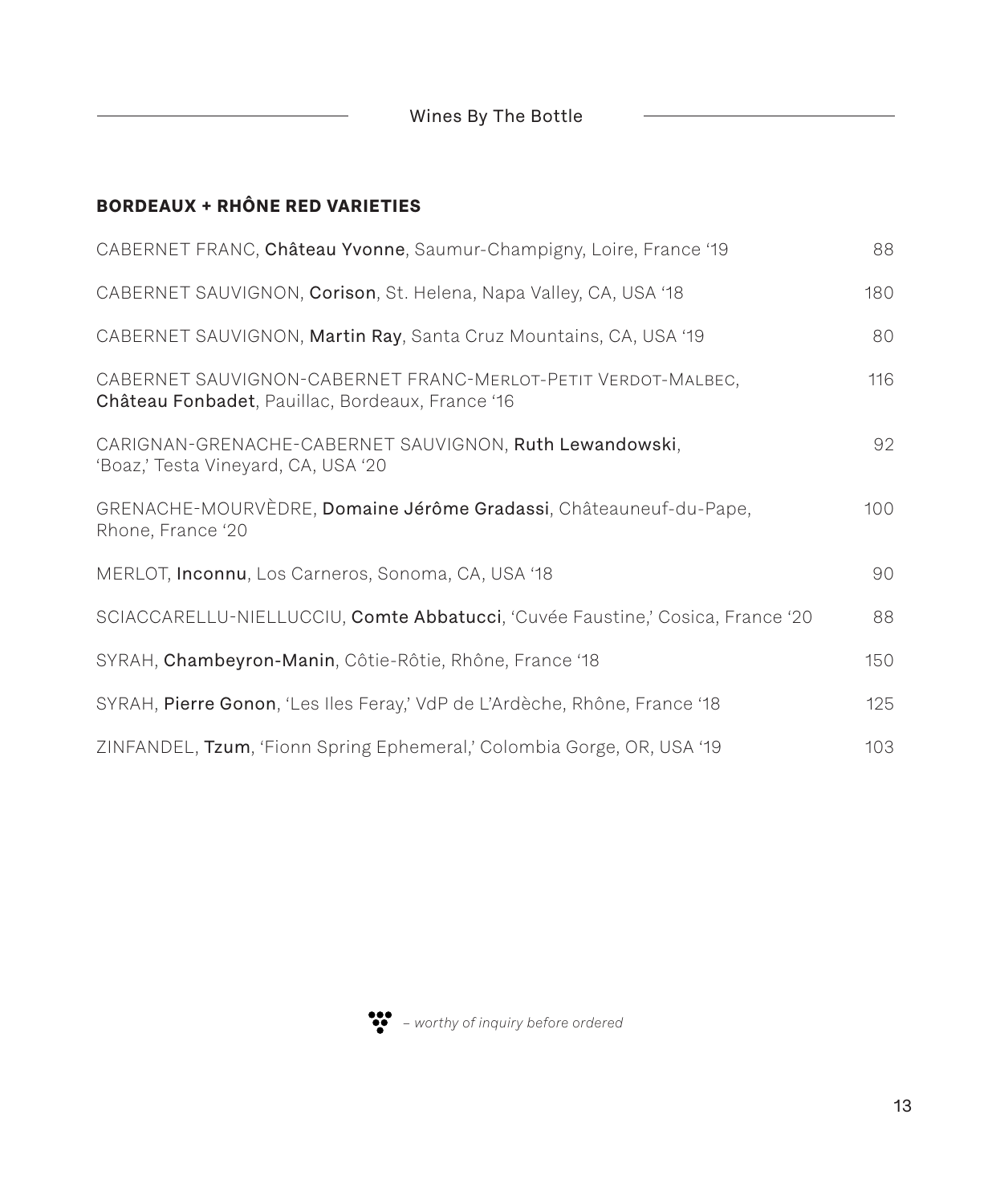$\frac{1}{\sqrt{2}}$ 

# **BORDEAUX + RHÔNE RED VARIETIES**

÷.

| CABERNET FRANC, Château Yvonne, Saumur-Champigny, Loire, France '19                                               | 88  |
|-------------------------------------------------------------------------------------------------------------------|-----|
| CABERNET SAUVIGNON, Corison, St. Helena, Napa Valley, CA, USA '18                                                 | 180 |
| CABERNET SAUVIGNON, Martin Ray, Santa Cruz Mountains, CA, USA '19                                                 | 80  |
| CABERNET SAUVIGNON-CABERNET FRANC-MERLOT-PETIT VERDOT-MALBEC,<br>Château Fonbadet, Pauillac, Bordeaux, France '16 | 116 |
| CARIGNAN-GRENACHE-CABERNET SAUVIGNON, Ruth Lewandowski,<br>'Boaz,' Testa Vineyard, CA, USA '20                    | 92  |
| GRENACHE-MOURVÈDRE, Domaine Jérôme Gradassi, Châteauneuf-du-Pape,<br>Rhone, France '20                            | 100 |
| MERLOT, Inconnu, Los Carneros, Sonoma, CA, USA '18                                                                | 90  |
| SCIACCARELLU-NIELLUCCIU, Comte Abbatucci, 'Cuvée Faustine,' Cosica, France '20                                    | 88  |
| SYRAH, Chambeyron-Manin, Côtie-Rôtie, Rhône, France '18                                                           | 150 |
| SYRAH, Pierre Gonon, 'Les Iles Feray,' VdP de L'Ardèche, Rhône, France '18                                        | 125 |
| ZINFANDEL, Tzum, 'Fionn Spring Ephemeral,' Colombia Gorge, OR, USA '19                                            | 103 |



*– worthy of inquiry before ordered*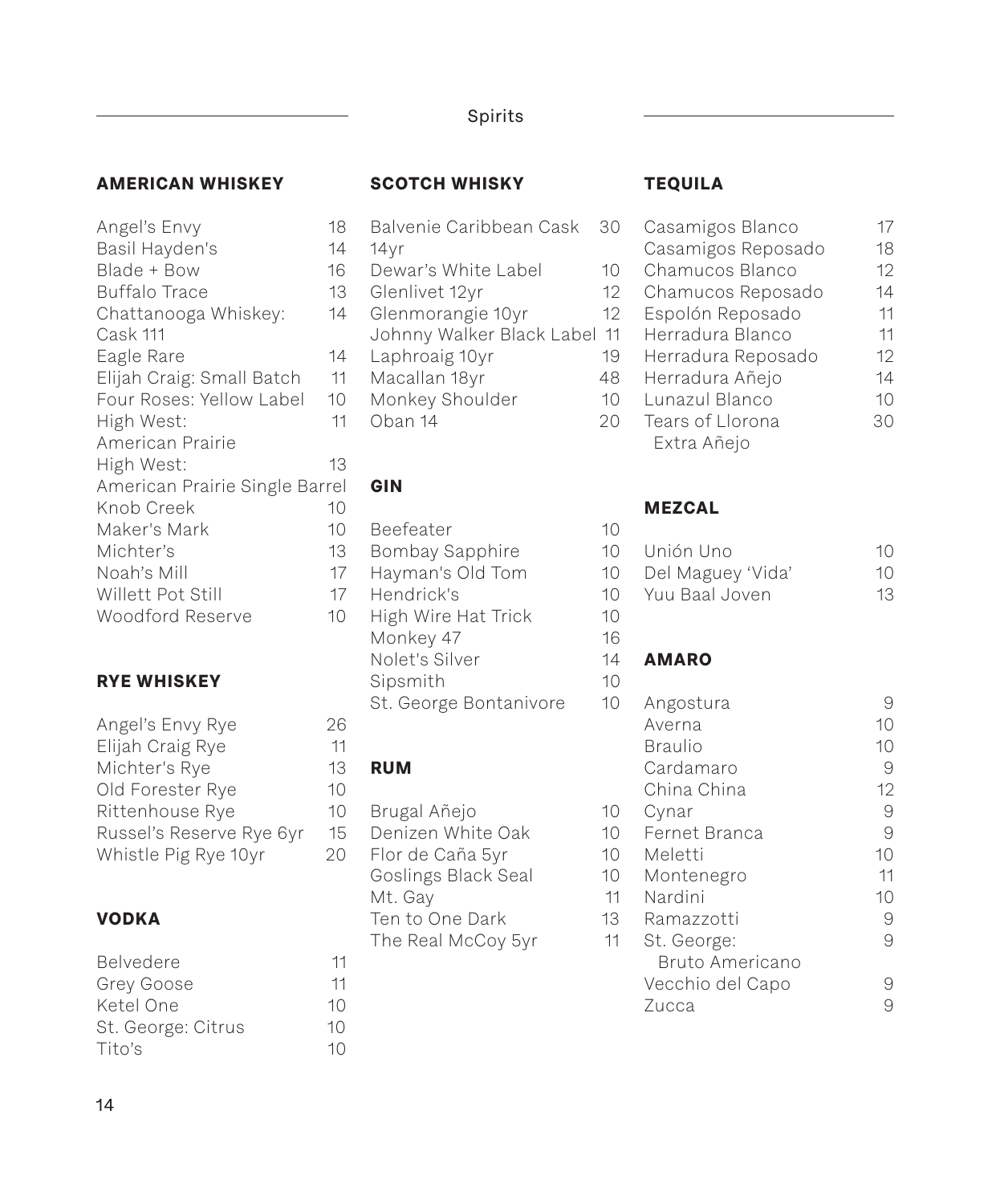# Spirits

### **AMERICAN WHISKEY**

|  |  | <b>SCOTCH WHISKY</b> |
|--|--|----------------------|
|  |  |                      |

L.

| Angel's Envy                   | 18 |
|--------------------------------|----|
| Basil Hayden's                 | 14 |
| Blade + Bow                    | 16 |
| <b>Buffalo Trace</b>           | 13 |
| Chattanooga Whiskey:           | 14 |
| Cask 111                       |    |
| Eagle Rare                     | 14 |
| Elijah Craig: Small Batch      | 11 |
| Four Roses: Yellow Label       | 10 |
| High West:                     | 11 |
| American Prairie               |    |
| High West:                     | 13 |
| American Prairie Single Barrel |    |
| Knob Creek                     | 10 |
| Maker's Mark                   | 10 |
| Michter's                      | 13 |
| Noah's Mill                    | 17 |
| Willett Pot Still              | 17 |
| Woodford Reserve               | 10 |
|                                |    |

### **RYE WHISKEY**

| Angel's Envy Rye         | 26 |
|--------------------------|----|
| Elijah Craig Rye         | 11 |
| Michter's Rye            | 13 |
| Old Forester Rye         | 10 |
| Rittenhouse Rye          | 10 |
| Russel's Reserve Rye 6yr | 15 |
| Whistle Pig Rye 10yr     | 20 |

### **VODKA**

| <b>Belvedere</b>   | 11 |
|--------------------|----|
| Grey Goose         | 11 |
| Ketel One          | 10 |
| St. George: Citrus | 10 |
| Tito's             | 10 |

| Balvenie Caribbean Cask   | 30 |
|---------------------------|----|
| 14yr                      |    |
| Dewar's White Label       | 10 |
| Glenlivet 12yr            | 12 |
| Glenmorangie 10yr         | 12 |
| Johnny Walker Black Label | 11 |
| Laphroaig 10yr            | 19 |
| Macallan 18yr             | 48 |
| Monkey Shoulder           | 10 |
| Oban 14                   |    |

### **GIN**

|   | Beefeater              | 10 |
|---|------------------------|----|
| 3 | Bombay Sapphire        | 10 |
|   | Hayman's Old Tom       | 10 |
|   | Hendrick's             | 10 |
| ) | High Wire Hat Trick    | 10 |
|   | Monkey 47              | 16 |
|   | Nolet's Silver         | 14 |
|   | Sipsmith               | 10 |
|   | St. George Bontanivore | 10 |
|   |                        |    |

#### **RUM**

| Brugal Añejo        | 10 |
|---------------------|----|
| Denizen White Oak   | 10 |
| Flor de Caña 5yr    | 10 |
| Goslings Black Seal | 10 |
| Mt. Gav             | 11 |
| Ten to One Dark     | 13 |
| The Real McCoy 5yr  | 11 |
|                     |    |

# **TEQUILA**

| Casamigos Blanco   | 17 |
|--------------------|----|
| Casamigos Reposado | 18 |
| Chamucos Blanco    | 12 |
| Chamucos Reposado  | 14 |
| Espolón Reposado   | 11 |
| Herradura Blanco   | 11 |
| Herradura Reposado | 12 |
| Herradura Añejo    | 14 |
| Lunazul Blanco     | 10 |
| Tears of Llorona   | 30 |
| Extra Añejo        |    |

### **MEZCAL**

| Unión Uno         | 10  |
|-------------------|-----|
| Del Maguey 'Vida' | 10  |
| Yuu Baal Joven    | 13. |

# **AMARO**

| 0         | Angostura        | 9  |
|-----------|------------------|----|
|           | Averna           | 10 |
|           | <b>Braulio</b>   | 10 |
|           | Cardamaro        | 9  |
|           | China China      | 12 |
| 0         | Cynar            | 9  |
| 0         | Fernet Branca    | 9  |
| 0         | Meletti          | 10 |
| 0         | Montenegro       | 11 |
| 11        | Nardini          | 10 |
| 3         | Ramazzotti       | 9  |
| $\vert$ 1 | St. George:      | 9  |
|           | Bruto Americano  |    |
|           | Vecchio del Capo |    |
|           | Zucca            |    |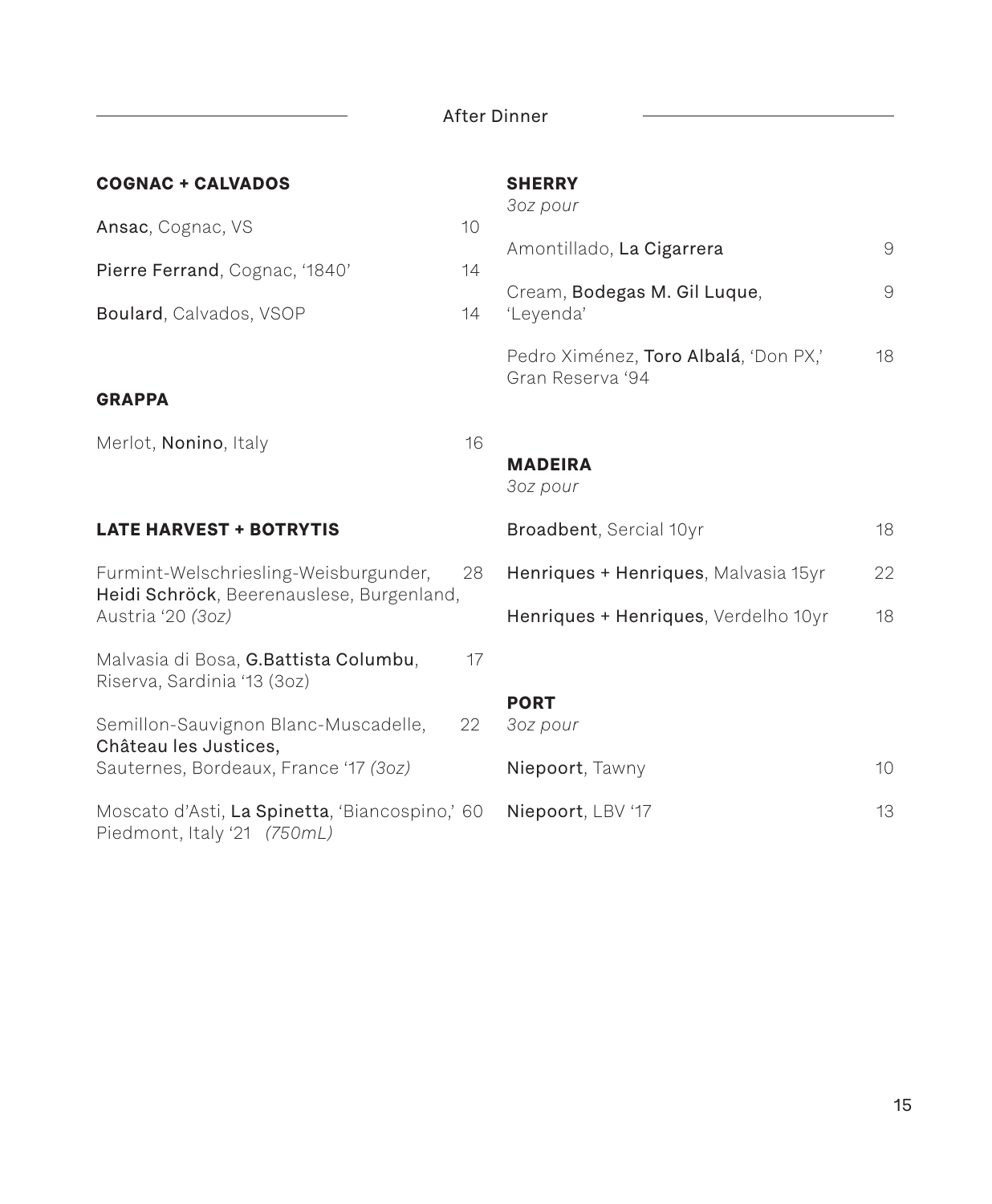| <b>COGNAC + CALVADOS</b>                                                                 | <b>SHERRY</b><br>3oz pour |                                                           |    |
|------------------------------------------------------------------------------------------|---------------------------|-----------------------------------------------------------|----|
| Ansac, Cognac, VS                                                                        | 10                        |                                                           |    |
| Pierre Ferrand, Cognac, '1840'                                                           | 14                        | Amontillado, La Cigarrera                                 | 9  |
| Boulard, Calvados, VSOP<br>14                                                            |                           | Cream, Bodegas M. Gil Luque,<br>'Leyenda'                 | 9  |
|                                                                                          |                           | Pedro Ximénez, Toro Albalá, 'Don PX,'<br>Gran Reserva '94 | 18 |
| <b>GRAPPA</b>                                                                            |                           |                                                           |    |
| Merlot, Nonino, Italy                                                                    | 16                        | <b>MADEIRA</b>                                            |    |
|                                                                                          |                           | 3oz pour                                                  |    |
| <b>LATE HARVEST + BOTRYTIS</b>                                                           |                           | Broadbent, Sercial 10yr                                   | 18 |
| Furmint-Welschriesling-Weisburgunder,<br>28<br>Heidi Schröck, Beerenauslese, Burgenland, |                           | Henriques + Henriques, Malvasia 15yr                      | 22 |
| Austria '20 (3oz)                                                                        |                           | Henriques + Henriques, Verdelho 10yr                      | 18 |
| Malvasia di Bosa, G.Battista Columbu,<br>Riserva, Sardinia '13 (3oz)                     | 17                        |                                                           |    |
| Semillon-Sauvignon Blanc-Muscadelle,                                                     | 22                        | <b>PORT</b><br>3oz pour                                   |    |
| Château les Justices,                                                                    |                           |                                                           | 10 |
| Sauternes, Bordeaux, France '17 (3oz)                                                    |                           | Niepoort, Tawny                                           |    |
| Moscato d'Asti, La Spinetta, 'Biancospino,' 60                                           |                           | Niepoort, LBV '17                                         | 13 |

Piedmont, Italy '21 *(750mL)*